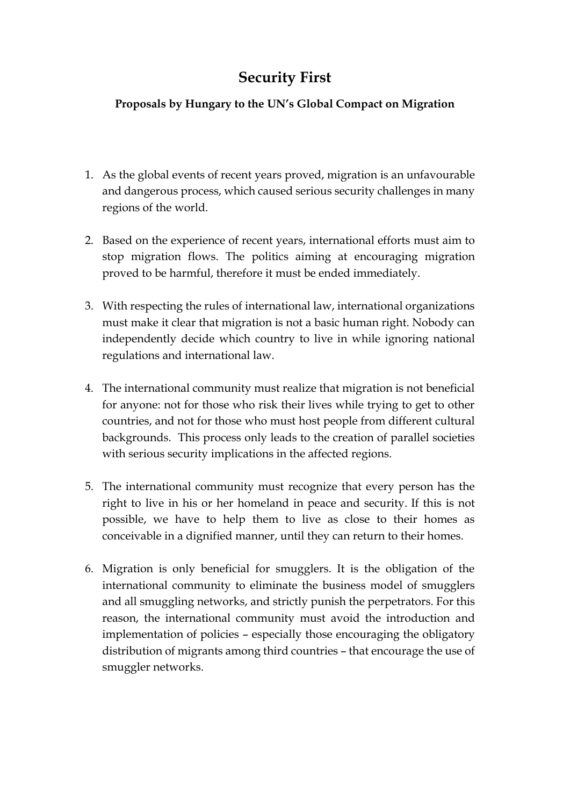## **Security First**

## **Proposals by Hungary to the UN's Global Compact on Migration**

- 1. As the global events of recent years proved, migration is an unfavourable and dangerous process, which caused serious security challenges in many regions of the world.
- 2. Based on the experience of recent years, international efforts must aim to stop migration flows. The politics aiming at encouraging migration proved to be harmful, therefore it must be ended immediately.
- 3. With respecting the rules of international law, international organizations must make it clear that migration is not a basic human right. Nobody can independently decide which country to live in while ignoring national regulations and international law.
- 4. The international community must realize that migration is not beneficial for anyone: not for those who risk their lives while trying to get to other countries, and not for those who must host people from different cultural backgrounds. This process only leads to the creation of parallel societies with serious security implications in the affected regions.
- 5. The international community must recognize that every person has the right to live in his or her homeland in peace and security. If this is not possible, we have to help them to live as close to their homes as conceivable in a dignified manner, until they can return to their homes.
- 6. Migration is only beneficial for smugglers. It is the obligation of the international community to eliminate the business model of smugglers and all smuggling networks, and strictly punish the perpetrators. For this reason, the international community must avoid the introduction and implementation of policies – especially those encouraging the obligatory distribution of migrants among third countries – that encourage the use of smuggler networks.